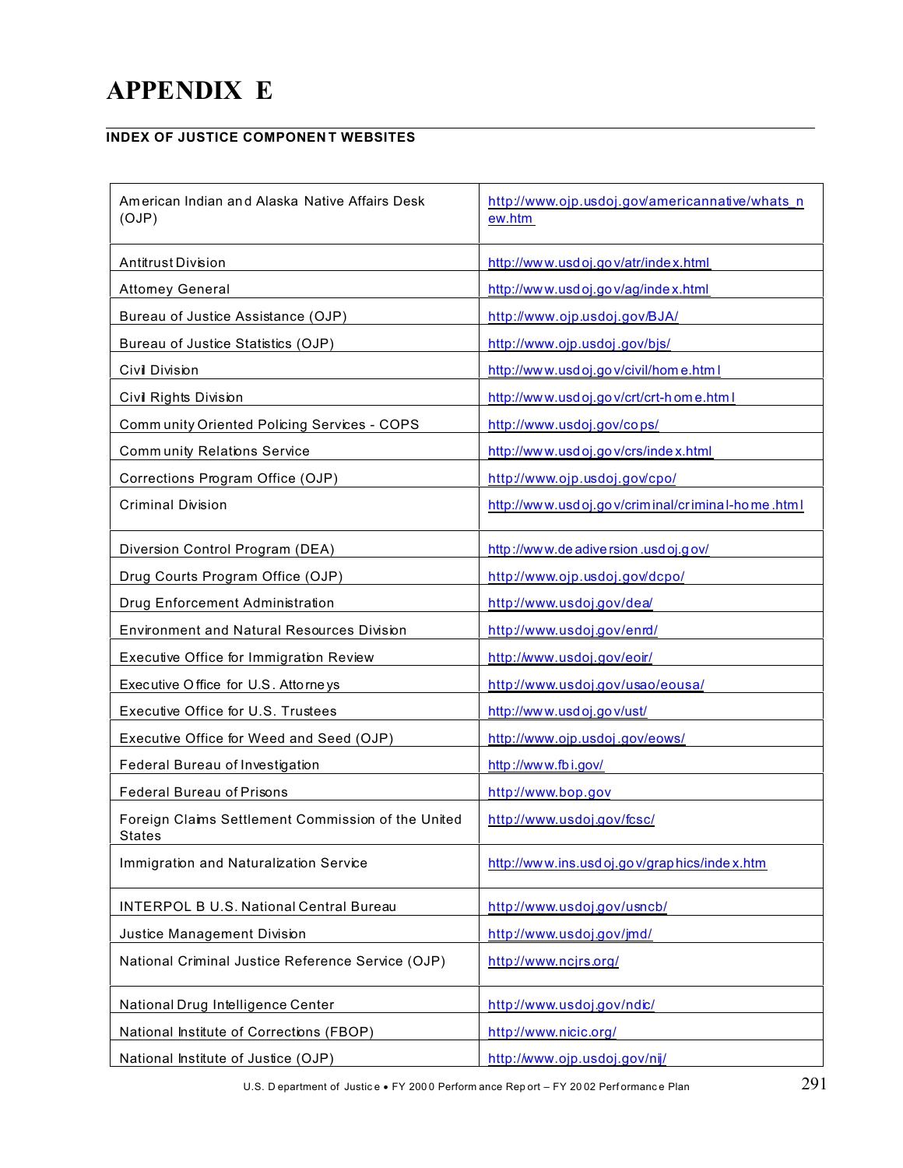## **APPENDIX E**

## **INDEX OF JUSTICE COMPONENT WEBSITES**

| American Indian and Alaska Native Affairs Desk<br>(OJP)             | http://www.ojp.usdoj.gov/americannative/whats_n<br>ew.htm |
|---------------------------------------------------------------------|-----------------------------------------------------------|
| Antitrust Division                                                  | http://www.usdoj.gov/atr/index.html                       |
| <b>Attomey General</b>                                              | http://www.usdoj.gov/ag/index.html                        |
| Bureau of Justice Assistance (OJP)                                  | http://www.ojp.usdoj.gov/BJA/                             |
| Bureau of Justice Statistics (OJP)                                  | http://www.ojp.usdoj.gov/bjs/                             |
| Civil Division                                                      | http://www.usdoj.gov/civil/home.html                      |
| Civil Rights Division                                               | http://www.usdoj.gov/crt/crt-home.html                    |
| Comm unity Oriented Policing Services - COPS                        | http://www.usdoj.gov/cops/                                |
| <b>Community Relations Service</b>                                  | http://www.usdoj.gov/crs/index.html                       |
| Corrections Program Office (OJP)                                    | http://www.ojp.usdoj.gov/cpo/                             |
| <b>Criminal Division</b>                                            | http://www.usdoj.gov/criminal/criminal-home.html          |
| Diversion Control Program (DEA)                                     | http://www.deadiversion.usdoj.gov/                        |
| Drug Courts Program Office (OJP)                                    | http://www.ojp.usdoj.gov/dcpo/                            |
| Drug Enforcement Administration                                     | http://www.usdoj.gov/dea/                                 |
| <b>Environment and Natural Resources Division</b>                   | http://www.usdoj.gov/enrd/                                |
| Executive Office for Immigration Review                             | http://www.usdoj.gov/eoir/                                |
| Executive Office for U.S. Attorneys                                 | http://www.usdoj.gov/usao/eousa/                          |
| Executive Office for U.S. Trustees                                  | http://www.usdoj.gov/ust/                                 |
| Executive Office for Weed and Seed (OJP)                            | http://www.ojp.usdoj.gov/eows/                            |
| Federal Bureau of Investigation                                     | http://www.fbi.gov/                                       |
| <b>Federal Bureau of Prisons</b>                                    | http://www.bop.gov                                        |
| Foreign Claims Settlement Commission of the United<br><b>States</b> | http://www.usdoj.gov/fcsc/                                |
| Immigration and Naturalization Service                              | http://www.ins.usdoj.gov/graphics/index.htm               |
| INTERPOL B U.S. National Central Bureau                             | http://www.usdoj.gov/usncb/                               |
| Justice Management Division                                         | http://www.usdoj.gov/jmd/                                 |
| National Criminal Justice Reference Service (OJP)                   | http://www.ncjrs.org/                                     |
| National Drug Intelligence Center                                   | http://www.usdoj.gov/ndic/                                |
| National Institute of Corrections (FBOP)                            | http://www.nicic.org/                                     |
| National Institute of Justice (OJP)                                 | http://www.ojp.usdoj.gov/nij/                             |